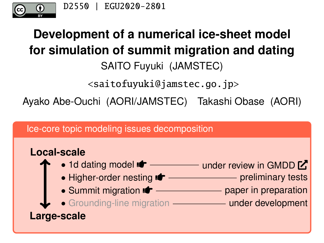<span id="page-0-0"></span>

# **Development of a numerical ice-sheet model for simulation of summit migration and dating** SAITO Fuyuki (JAMSTEC)

<saitofuyuki@jamstec.go.jp>

Ayako Abe-Ouchi (AORI/JAMSTEC) Takashi Obase (AORI)

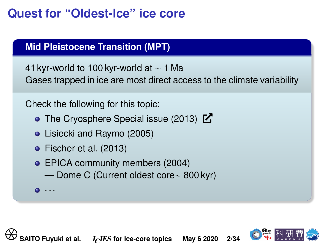## **Quest for "Oldest-Ice" ice core**

#### **Mid Pleistocene Transition (MPT)**

41 kyr-world to 100 kyr-world at ∼ 1 Ma Gases trapped in ice are most direct access to the climate variability

Check the following for this topic:

- [The Cryosphere Special issue \(2013\)](https://www.the-cryosphere.net/special_issue968.html)  $\mathbb{Z}$ Check the following for this topic:<br>
• The Cryosphere Special issue (2013) **C**<br>
• Lisiecki and Raymo (2005)<br>
• Fischer et al. (2013)<br>
• EPICA community members (2004)<br>
— Dome C (Current oldest core~ 800 kyr)<br>
• ...<br>
• SAIT
	- [Lisiecki and Raymo \(2005\)](#page-29-0)
	- [Fischer et al. \(2013\)](#page-28-0)
	- **[EPICA community members \(2004\)](#page-27-0)** 
		- Dome C (Current oldest core∼ 800 kyr)

· · ·

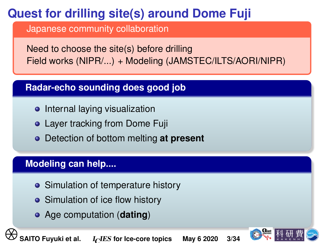# **Quest for drilling site(s) around Dome Fuji**

Japanese community collaboration

Need to choose the site(s) before drilling Field works (NIPR/...) + Modeling (JAMSTEC/ILTS/AORI/NIPR)

#### **Radar-echo sounding does good job**

- Internal laying visualization
- **Layer tracking from Dome Fuji**
- Detection of bottom melting **at present Example 12 Properties Controlling School of School of School of School of School of School of Simulation of temperature history<br>
■ Simulation of temperature history<br>
■ Simulation of temperature history<br>
■ Sairo Fuyuki et**

#### **Modeling can help....**

- Simulation of temperature history
- Simulation of ice flow history
- Age computation (**dating**)

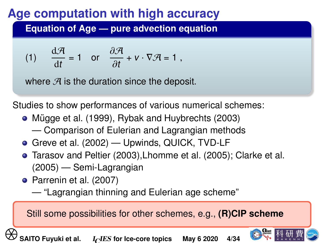## <span id="page-3-0"></span>**Age computation with high accuracy**

**Equation of Age — pure advection equation**

(1) 
$$
\frac{d\mathcal{A}}{dt} = 1 \text{ or } \frac{\partial \mathcal{A}}{\partial t} + v \cdot \nabla \mathcal{A} = 1,
$$

where  $\mathcal A$  is the duration since the deposit.

Studies to show performances of various numerical schemes:

- $\bullet$  Mügge et al. (1999), [Rybak and Huybrechts \(2003\)](#page-31-0)
	- Comparison of Eulerian and Lagrangian methods
- **[Greve et al. \(2002\)](#page-28-1) Upwinds, QUICK, TVD-LF**
- [Tarasov and Peltier \(2003\)](#page-32-0)[,Lhomme et al. \(2005\)](#page-29-2); [Clarke et al.](#page-27-1) [\(2005\)](#page-27-1) — Semi-Lagrangian Write  $\sigma$  is the duration since the deposit.<br> **Studies to show performances of various numerical sch**<br>
• Mügge et al. (1999), Rybak and Huybrechts (2003)<br>
— Comparison of Eulerian and Lagrangian method<br>
• Greve et al. (2
	- [Parrenin et al. \(2007\)](#page-30-0)
		- "Lagrangian thinning and Eulerian age scheme"

Still some possibilities for other schemes, e.g., **(R)CIP scheme**

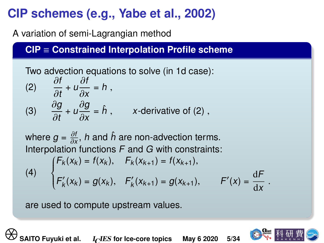# **CIP schemes (e.g., [Yabe et al., 2002\)](#page-33-0)**

A variation of semi-Lagrangian method

**CIP** ≡ **Constrained Interpolation Profile scheme**

Two advection equations to solve (in 1d case): (2)  $\frac{\partial f}{\partial t} + u \frac{\partial f}{\partial x} = h$ , ∂t ∂x<br>∂a ∂o ∂g<br>∍•  $\frac{\partial g}{\partial t} + u \frac{\partial g}{\partial x}$ (3)  $\frac{\partial g}{\partial t} + u \frac{\partial g}{\partial x} = \hat{h}$ , x-derivative of [\(2\)](#page-4-0), (2)  $\frac{\partial I}{\partial t} + U \frac{\partial I}{\partial x} = h$ ,<br>
(3)  $\frac{\partial g}{\partial t} + U \frac{\partial g}{\partial x} = \hat{h}$ , *x*-derivative of (2),<br>
where  $g = \frac{\partial f}{\partial x}$ , *h* and  $\hat{h}$  are non-advection terms.<br>
Interpolation functions *F* and *G* with constraints:<br>  $\begin{cases} F_k(x$ 

<span id="page-4-0"></span>where  $g=\frac{\partial f}{\partial x},$  h and  $\hat{h}$  are non-advection terms. Interpolation functions  $\overline{F}$  and  $\overline{G}$  with constraints:

(4)  $\begin{cases} \frac{1}{2} & \text{if } 0 \leq x \leq 1 \\ \frac{1}{2} & \text{if } 0 \leq x \leq 1 \end{cases}$  $\overline{\mathcal{L}}$  $F_k(x_k) = f(x_k), \quad F_k(x_{k+1}) = f(x_{k+1}),$  $F'_{k}$  $g'_k(x_k) = g(x_k), \quad F'_k$  $K'_k(x_{k+1}) = g(x_{k+1}), \qquad F'(x) = \frac{dF}{dx}.$ 

are used to compute upstream values.

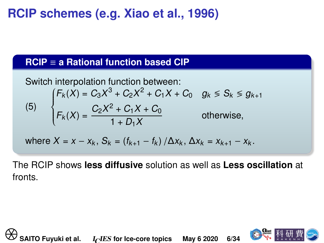## **RCIP schemes (e.g. [Xiao et al., 1996\)](#page-32-1)**

#### **RCIP** ≡ **a Rational function based CIP**

Switch interpolation function between:  
\n
$$
\begin{cases}\nF_k(X) = C_3X^3 + C_2X^2 + C_1X + C_0 & g_k \leq S_k \leq g_{k+1} \\
F_k(X) = \frac{C_2X^2 + C_1X + C_0}{1 + D_1X} & \text{otherwise,} \\
\text{where } X = x - x_k, S_k = (f_{k+1} - f_k) / \Delta x_k, \Delta x_k = x_{k+1} - x_k.\n\end{cases}
$$
\nThe RCIP shows **less diffusive** solution as well as **Less osc** fronts.  
\n
$$
\begin{cases}\n\bigoplus_{k=1}^{\infty} S_{k+1} \leq \frac{C_2X^2 + C_1X + C_0}{1 + D_1X} & \text{otherwise.}\n\end{cases}
$$
\n
$$
\bigoplus_{k=1}^{\infty} S_{k+1} \leq \frac{C_2X^2 + C_1X + C_0}{1 + D_1X}
$$

where 
$$
X = x - x_k
$$
,  $S_k = (f_{k+1} - f_k) / \Delta x_k$ ,  $\Delta x_k = x_{k+1} - x_k$ .

The RCIP shows **less diffusive** solution as well as **Less oscillation** at fronts.

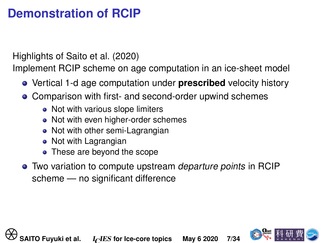### **Demonstration of RCIP**

Highlights of [Saito et al. \(2020\)](#page-32-2)

Implement RCIP scheme on age computation in an ice-sheet model

- Vertical 1-d age computation under **prescribed** velocity history
- Comparison with first- and second-order upwind schemes
	- Not with various slope limiters
	- Not with even higher-order schemes
	- Not with other semi-Lagrangian
	- Not with Lagrangian
	- These are beyond the scope
- Two variation to compute upstream departure points in RCIP scheme — no significant difference • Vertical 1-d age computation under **prescribed** vel<br>
• Comparison with first- and second-order upwind sc<br>
• Not with various slope limiters<br>
• Not with other semi-Lagrangian<br>
• Not with Lagrangian<br>
• These are beyond th

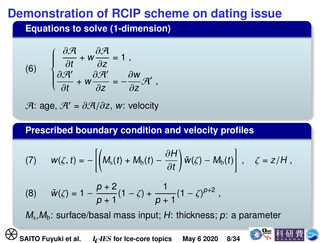## **Demonstration of RCIP scheme on dating issue**

**Equations to solve (1-dimension)**

(6) 
$$
\begin{cases} \frac{\partial \mathcal{A}}{\partial t} + w \frac{\partial \mathcal{A}}{\partial z} = 1, \\ \frac{\partial \mathcal{A}'}{\partial t} + w \frac{\partial \mathcal{A}'}{\partial z} = -\frac{\partial w}{\partial z} \mathcal{A}', \end{cases}
$$

$$
\mathcal{A} : \text{age}, \, \mathcal{A}' = \partial \mathcal{A}/\partial z, \, w \colon \text{velocity}
$$

**Prescribed boundary condition and velocity profiles**

$$
(\frac{\partial f}{\partial t} + W \frac{\partial f}{\partial z}) = -\frac{\partial f}{\partial z} \mathcal{F} \mathbf{1},
$$
  

$$
\mathcal{F} \mathbf{1} : \text{age, } \mathcal{H}' = \partial \mathcal{H}/\partial z, \text{ w: velocity}
$$
  
**Prescribed boundary condition and velocity profiles**  

$$
(7) \quad W(\zeta, t) = -\left[ \left( M_s(t) + M_b(t) - \frac{\partial H}{\partial t} \right) \tilde{w}(\zeta) - M_b(t) \right], \quad \zeta = z/H,
$$

$$
(8) \quad \tilde{w}(\zeta) = 1 - \frac{p+2}{p+1} (1-\zeta) + \frac{1}{p+1} (1-\zeta)^{p+2},
$$

$$
M_s, M_b: \text{ surface/basal mass input; } H: \text{ thickness; } p: \text{ a parameter}
$$
  

$$
\bigotimes \text{SATO Fuyuki et al.} \quad I_C \text{IES for ice-core topics} \quad \text{May 6 2020} \quad 8/34 \quad \bigotimes \text{Rlyth}
$$

(8) 
$$
\tilde{w}(\zeta) = 1 - \frac{p+2}{p+1}(1-\zeta) + \frac{1}{p+1}(1-\zeta)^{p+2}
$$
,

 $\mathit{M}_{\mathrm{s}},\mathit{M}_{\mathrm{b}}$ : surface/basal mass input; H: thickness;  $p$ : a parameter

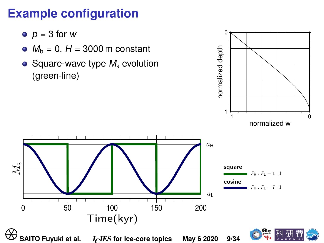## **Example configuration**

- $p = 3$  for w
- $M_h = 0$ , H = 3000 m constant
- Square-wave type  $M_s$  evolution (green-line)



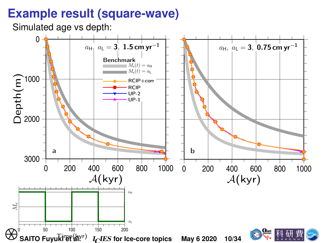#### **Example result (square-wave)**

Simulated age vs depth:

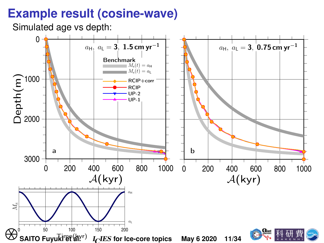### **Example result (cosine-wave)**

Simulated age vs depth:

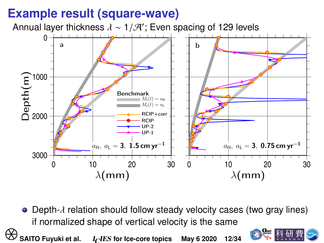### **Example result (square-wave)**



 $\bullet$  Depth- $\lambda$  relation should follow steady velocity cases (two gray lines) if normalized shape of vertical velocity is the same

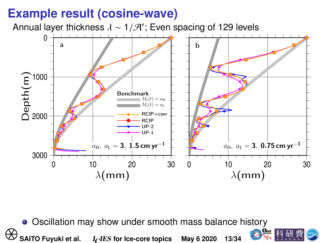### **Example result (cosine-wave)**



• Oscillation may show under smooth mass balance history

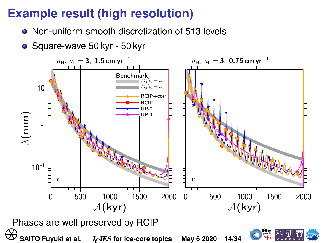### **Example result (high resolution)** ∆A(kyr)

- Non-uniform smooth discretization of 513 levels
- Square-wave 50 kyr 50 kyr a

λ(mm)

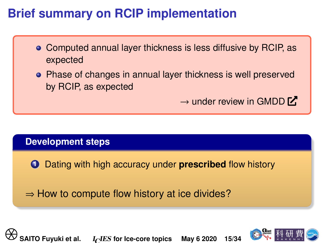## **Brief summary on RCIP implementation**

- Computed annual layer thickness is less diffusive by RCIP, as expected
- Phase of changes in annual layer thickness is well preserved by RCIP, as expected

 $\rightarrow$  under review in [GMDD](https://www.geosci-model-dev-discuss.net/gmd-2020-53/)  $\overline{V}$ 

#### **Development steps**

**1** Dating with high accuracy under **prescribed** flow history

 $\Rightarrow$  How to compute flow history at ice divides? **SAITO Fuyuki et al.** Increase to the corrected method in the SAITO Fuyuki et al. Increase of the correction of the SAITO Fuyuki et al. Increase of the corrections May 6 2020 15/34

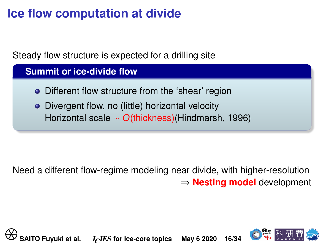# **Ice flow computation at divide**

<span id="page-15-0"></span>Steady flow structure is expected for a drilling site

**Summit or ice-divide flow**

- Different flow structure from the 'shear' region
- Divergent flow, no (little) horizontal velocity Horizontal scale ∼ O(thickness)[\(Hindmarsh, 1996\)](#page-28-2)

Need a different flow-regime modeling near divide, with higher-resolution ⇒ **Nesting model** development • Different flow structure from the 'shear' region<br>• Divergent flow, no (little) horizontal velocity<br>Horizontal scale ∼ *O*(thickness)(Hindmarsh, 199<br>• Need a different flow-regime modeling near divide, with<br>→ **Nesting m** 

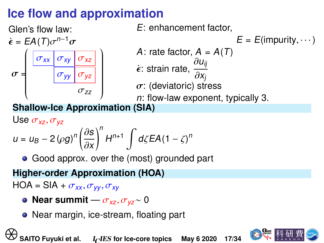## **Ice flow and approximation**



E: enhancement factor,

 $E = E$ (impurity,  $\cdots$ )

A: rate factor,  $A = A(T)$ 

$$
\dot{\epsilon} \text{: strain rate, } \frac{\partial u_{ij}}{\partial x_j}
$$

∂xj<br>sti  $\sigma$ : (deviatoric) stress<br>n: flow-law exponent

n: flow-law exponent, typically 3.

**Shallow-Ice Approximation (SIA)**

Use  $\sigma_{xz}, \sigma_{yz}$  $u = u_B - 2 \left(\rho g\right)^n \left(\frac{\partial s}{\partial x}\right)$ ∂x<br>′′  $\big)^n$  $H^{n+1} \int d\zeta E A (1-\zeta)^n$ **Shallow-Ice Approximation (SIA)**<br>
Use  $\sigma_{xz}$ ,  $\sigma_{yz}$ <br>  $u = u_B - 2 (\rho g)^n \left(\frac{\partial s}{\partial x}\right)^n H^{n+1} \int d\zeta E A (1 - \zeta)^n$ <br>
• Good approx. over the (most) grounded part<br> **Higher-order Approximation (HOA)**<br>
HOA = SIA +  $\sigma_{xx}$ ,  $\sigma_{yy}$ ,

• Good approx. over the (most) grounded part

**Higher-order Approximation (HOA)**  $HOA = SIA + \sigma_{xx}, \sigma_{yy}, \sigma_{xy}$ 

- **Near summit**  $\sigma_{xz}, \sigma_{yz} \sim 0$
- Near margin, ice-stream, floating part

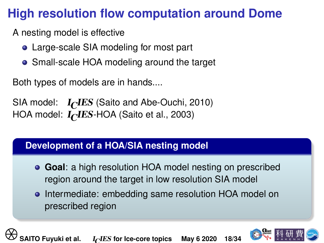## **High resolution flow computation around Dome**

A nesting model is effective

- Large-scale SIA modeling for most part
- Small-scale HOA modeling around the target

Both types of models are in hands....

SIA model:  $I_CIES$  [\(Saito and Abe-Ouchi, 2010\)](#page-31-1) HOA model:  $I_{\cap}I\text{ES-HOA}$  [\(Saito et al., 2003\)](#page-31-2)

#### **Development of a HOA/SIA nesting model**

- **Goal**: a high resolution HOA model nesting on prescribed region around the target in low resolution SIA model Both types of models are in hands....<br>
SIA model:  $I_C IES$  (Saito and Abe-Ouchi, 2010)<br>
HOA model:  $I_C IES$ -HOA (Saito et al., 2003)<br> **Development of a HOA/SIA nesting model<br>
• Goal: a high resolution HOA model nesting on p<br>
r** 
	- Intermediate: embedding same resolution HOA model on prescribed region

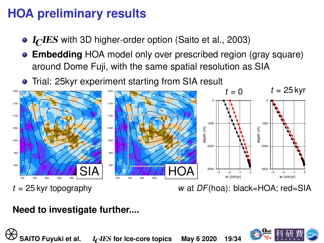## **HOA preliminary results**

- $I<sub>C</sub>IES$  with 3D higher-order option [\(Saito et al., 2003\)](#page-31-2)
- **Embedding** HOA model only over prescribed region (gray square) around Dome Fuji, with the same spatial resolution as SIA
- **•** Trial: 25 kyr experiment starting from SIA result



#### **Need to investigate further....**

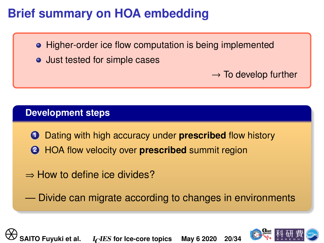## **Brief summary on HOA embedding**

- Higher-order ice flow computation is being implemented
- Just tested for simple cases

 $\rightarrow$  To develop further

#### **Development steps**

- **1** Dating with high accuracy under **prescribed** flow history
- **2** HOA flow velocity over **prescribed** summit region
- ⇒ How to define ice divides?

— Divide can migrate according to changes in environments **SAITO FUNDER IN EXECUTE: SAITO FUNDER INCREDICATION**<br> **SAITO Fuyuki et al.** Increase [for Ice-core topics](#page-0-0) May 6 2020 20/34<br>
∴<br>
∴<br>
∴<br>
∴<br>
∴<br>
∴<br>
SAITO Fuyuki et al. Increase for Ice-core topics May 6 2020 20/34

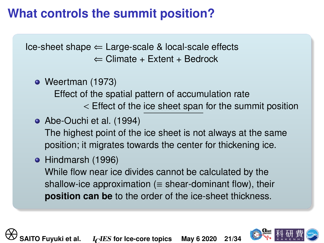## **What controls the summit position?**

<span id="page-20-0"></span> $lce-sheet shape \leftarrow Large-scale & local-scale effects$  $\Leftarrow$  Climate + Extent + Bedrock

• [Weertman \(1973\)](#page-32-3) Effect of the spatial pattern of accumulation rate < Effect of the ice sheet span for the summit position

- [Abe-Ouchi et al. \(1994\)](#page-27-2) The highest point of the ice sheet is not always at the same position; it migrates towards the center for thickening ice.
- [Hindmarsh \(1996\)](#page-28-2) While flow near ice divides cannot be calculated by the shallow-ice approximation ( $\equiv$  shear-dominant flow), their **position can be** to the order of the ice-sheet thickness. Weerlman (1973)<br>
Effect of the spatial pattern of accumulation ra<br>  $\leq$  Effect of the ice sheet span for the su<br> **•** Abe-Ouchi et al. (1994)<br>
The highest point of the ice sheet is not always a<br>
position; it migrates towar

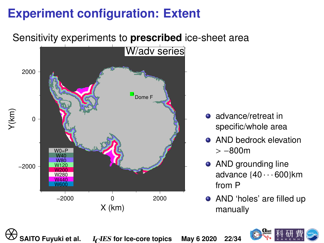# **Experiment configuration: Extent**

Sensitivity experiments to **prescribed** ice-sheet area



- **a** advance/retreat in specific/whole area
- **AND bedrock elevation** > <sup>−</sup>800m
- **AND grounding line** advance  $\{40 \cdots 600\}$ km from P
- AND 'holes' are filled up manually

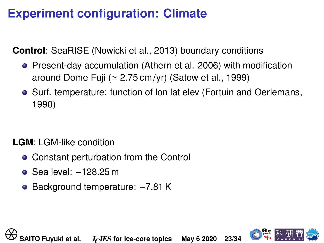## **Experiment configuration: Climate**

**Control**: SeaRISE [\(Nowicki et al., 2013\)](#page-30-1) boundary conditions

- **•** Present-day accumulation (Athern et al. 2006) with modification around Dome Fuji ( $\simeq$  2.75 cm/yr) [\(Satow et al., 1999\)](#page-32-4)
- Surf. temperature: function of lon lat elev [\(Fortuin and Oerlemans,](#page-28-3) [1990\)](#page-28-3) ■ Surf. temperature: function of lon lat elev (Fortuin a<br>1990)<br> **LGM:** LGM-like condition<br>
■ Constant perturbation from the Control<br>
■ Sea level: -128.25 m<br>
■ Background temperature: -7.81 K<br>
■ SAITO Fuyuki et al. I<sub>C</sub>IES

#### **LGM**: LGM-like condition

- Constant perturbation from the Control
- Sea level: <sup>−</sup>128.25 m
- Background temperature: <sup>−</sup>7.81 K

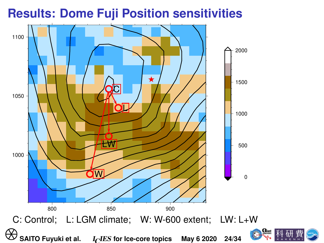#### **Results: Dome Fuji Position sensitivities**



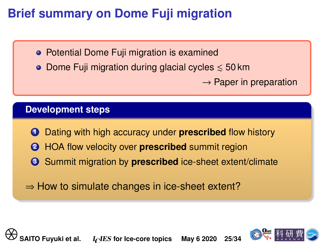## **Brief summary on Dome Fuji migration**

• Potential Dome Fuji migration is examined

• Dome Fuji migration during glacial cycles  $\leq 50$  km

 $\rightarrow$  Paper in preparation

#### **Development steps**

- **1** Dating with high accuracy under **prescribed** flow history
- **2** HOA flow velocity over **prescribed** summit region
- **3** Summit migration by **prescribed** ice-sheet extent/climate

 $\Rightarrow$  How to simulate changes in ice-sheet extent? ⇒ Paper<br> **O** Dating with high accuracy under **prescribed** flow<br> **O** HOA flow velocity over **prescribed** summit regio<br> **O** Summit migration by **prescribed** ice-sheet extert?<br>
⇒ How to simulate changes in ice-sheet extent?<br>

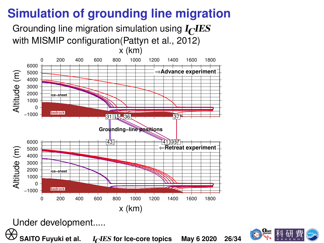# **Simulation of grounding line migration**

Grounding line migration simulation using  $I<sub>C</sub>IES$ with MISMIP configuration[\(Pattyn et al., 2012\)](#page-31-3)



Under development.....

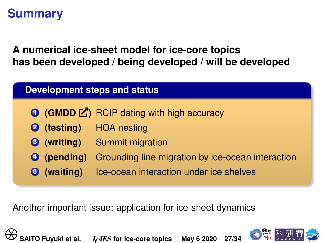## **Summary**

**A numerical ice-sheet model for ice-core topics has been developed / being developed / will be developed**

|                    | <b>● (GMDD 乙)</b> RCIP dating with high accuracy                     |
|--------------------|----------------------------------------------------------------------|
|                    | <b>4</b> (testing) HOA nesting                                       |
|                    | <b>3</b> (writing) Summit migration                                  |
|                    | <b>O</b> (pending) Grounding line migration by ice-ocean interaction |
| <b>6</b> (waiting) | Ice-ocean interaction under ice shelves                              |
|                    |                                                                      |

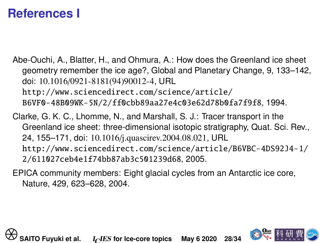### **References I**

- <span id="page-27-2"></span>Abe-Ouchi, A., Blatter, H., and Ohmura, A.: How does the Greenland ice sheet geometry remember the ice age?, Global and Planetary Change, 9, 133–142, doi: 10.1016/0921-8181(94)90012-4, URL [http://www.sciencedirect.com/science/article/](http://www.sciencedirect.com/science/article/B6VF0-48B09WK-5N/2/ff0cbb89aa27e4c03e62d78b0fa7f9f8) [B6VF0-48B09WK-5N/2/ff0cbb89aa27e4c03e62d78b0fa7f9f8](http://www.sciencedirect.com/science/article/B6VF0-48B09WK-5N/2/ff0cbb89aa27e4c03e62d78b0fa7f9f8), 1994.
- <span id="page-27-1"></span><span id="page-27-0"></span>Clarke, G. K. C., Lhomme, N., and Marshall, S. J.: Tracer transport in the Greenland ice sheet: three-dimensional isotopic stratigraphy, Quat. Sci. Rev., 24, 155–171, doi: 10.1016/j.quascirev.2004.08.021, URL [http://www.sciencedirect.com/science/article/B6VBC-4DS92J4-1/](http://www.sciencedirect.com/science/article/B6VBC-4DS92J4-1/2/611027ceb4e1f74bb87ab3c501239d68) [2/611027ceb4e1f74bb87ab3c501239d68](http://www.sciencedirect.com/science/article/B6VBC-4DS92J4-1/2/611027ceb4e1f74bb87ab3c501239d68), 2005. 001. 10.1010/0921-8181(94)90012-4, ORL<br>http://www.sciencedirect.com/science/article/<br>B6VF0-48B09WK-5N/2/ff0cbb89aa27e4c03e62d78b0fa7<br>Clarke, G. K. C., Lhomme, N., and Marshall, S. J.: Tracer tran<br>Greenland ice sheet: three
	- EPICA community members: Eight glacial cycles from an Antarctic ice core, Nature, 429, 623–628, 2004.

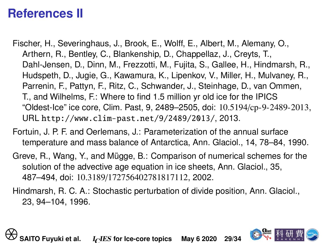## **References II**

- <span id="page-28-3"></span><span id="page-28-0"></span>Fischer, H., Severinghaus, J., Brook, E., Wolff, E., Albert, M., Alemany, O., Arthern, R., Bentley, C., Blankenship, D., Chappellaz, J., Creyts, T., Dahl-Jensen, D., Dinn, M., Frezzotti, M., Fujita, S., Gallee, H., Hindmarsh, R., Hudspeth, D., Jugie, G., Kawamura, K., Lipenkov, V., Miller, H., Mulvaney, R., Parrenin, F., Pattyn, F., Ritz, C., Schwander, J., Steinhage, D., van Ommen, T., and Wilhelms, F.: Where to find 1.5 million yr old ice for the IPICS "Oldest-Ice" ice core, Clim. Past, 9, 2489–2505, doi: 10.5194/cp-9-2489-2013, URL <http://www.clim-past.net/9/2489/2013/>, 2013. Parrenin, F., Pattyn, F., Ritz, C., Schwander, J., Steinhage,<br>T., and Wilhelms, F.: Where to find 1.5 million yr old ice for<br>"Oldest-lce" ice core, Clim. Past, 9, 2489–2505, doi: 10.519<br>URL http://www.clim-past.net/9/2489/
	- Fortuin, J. P. F. and Oerlemans, J.: Parameterization of the annual surface temperature and mass balance of Antarctica, Ann. Glaciol., 14, 78–84, 1990.
	- Greve, R., Wang, Y., and Mügge, B.: Comparison of numerical schemes for the solution of the advective age equation in ice sheets, Ann. Glaciol., 35, 487–494, doi: 10.3189/172756402781817112, 2002.
	- Hindmarsh, R. C. A.: Stochastic perturbation of divide position, Ann. Glaciol., 23, 94–104, 1996.

<span id="page-28-2"></span><span id="page-28-1"></span>

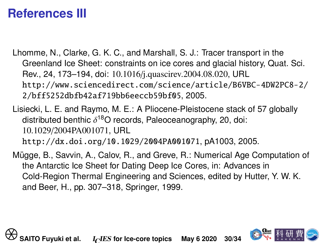## **References III**

- <span id="page-29-2"></span>Lhomme, N., Clarke, G. K. C., and Marshall, S. J.: Tracer transport in the Greenland Ice Sheet: constraints on ice cores and glacial history, Quat. Sci. Rev., 24, 173–194, doi: 10.1016/j.quascirev.2004.08.020, URL [http://www.sciencedirect.com/science/article/B6VBC-4DW2PC8-2/](http://www.sciencedirect.com/science/article/B6VBC-4DW2PC8-2/2/bff5252dbfb42af719bb6eeccb59bf05) [2/bff5252dbfb42af719bb6eeccb59bf05](http://www.sciencedirect.com/science/article/B6VBC-4DW2PC8-2/2/bff5252dbfb42af719bb6eeccb59bf05), 2005.
- <span id="page-29-1"></span><span id="page-29-0"></span>Lisiecki, L. E. and Raymo, M. E.: A Pliocene-Pleistocene stack of 57 globally distributed benthic δ<sup>18</sup>O records, Paleoceanography, 20, doi:<br>10.1029/2004PA001071 LIBL 10.1029/2004PA001071, URL <http://dx.doi.org/10.1029/2004PA001071>, pA1003, 2005.
- Mügge, B., Savvin, A., Calov, R., and Greve, R.: Numerical Age Computation of the Antarctic Ice Sheet for Dating Deep Ice Cores, in: Advances in Cold-Region Thermal Engineering and Sciences, edited by Hutter, Y. W. K. and Beer, H., pp. 307–318, Springer, 1999. http://www.sciencedirect.com/science/article/B6<br>2/bff5252dbfb42af719bb6eeccb59bf05, 2005.<br>Lisiecki, L. E. and Raymo, M. E.: A Pliocene-Pleistocene stac<br>distributed benthic δ<sup>18</sup>O records, Paleoceanography, 20, dc<br>10.1029/

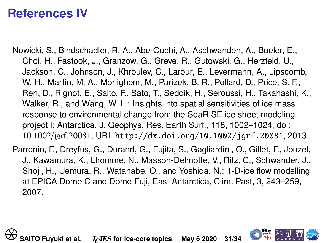### **References IV**

- <span id="page-30-1"></span>Nowicki, S., Bindschadler, R. A., Abe-Ouchi, A., Aschwanden, A., Bueler, E., Choi, H., Fastook, J., Granzow, G., Greve, R., Gutowski, G., Herzfeld, U., Jackson, C., Johnson, J., Khroulev, C., Larour, E., Levermann, A., Lipscomb, W. H., Martin, M. A., Morlighem, M., Parizek, B. R., Pollard, D., Price, S. F., Ren, D., Rignot, E., Saito, F., Sato, T., Seddik, H., Seroussi, H., Takahashi, K., Walker, R., and Wang, W. L.: Insights into spatial sensitivities of ice mass response to environmental change from the SeaRISE ice sheet modeling project I: Antarctica, J. Geophys. Res. Earth Surf., 118, 1002–1024, doi: 10.1002/jgrf.20081, URL <http://dx.doi.org/10.1002/jgrf.20081>, 2013. W. H., Martin, M. A., Morlignem, M., Parizek, B. H., Pollard<br>
Ren, D., Rignot, E., Saito, F., Sato, T., Seddik, H., Seroussi<br>
Walker, R., and Wang, W. L.: Insights into spatial sensitiviti<br>
response to environmental change
	- Parrenin, F., Dreyfus, G., Durand, G., Fujita, S., Gagliardini, O., Gillet, F., Jouzel, J., Kawamura, K., Lhomme, N., Masson-Delmotte, V., Ritz, C., Schwander, J., Shoji, H., Uemura, R., Watanabe, O., and Yoshida, N.: 1-D-ice flow modelling at EPICA Dome C and Dome Fuji, East Antarctica, Clim. Past, 3, 243–259, 2007.

<span id="page-30-0"></span>

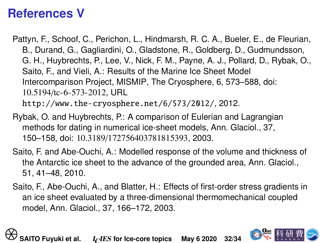## **References V**

<span id="page-31-3"></span>Pattyn, F., Schoof, C., Perichon, L., Hindmarsh, R. C. A., Bueler, E., de Fleurian, B., Durand, G., Gagliardini, O., Gladstone, R., Goldberg, D., Gudmundsson, G. H., Huybrechts, P., Lee, V., Nick, F. M., Payne, A. J., Pollard, D., Rybak, O., Saito, F., and Vieli, A.: Results of the Marine Ice Sheet Model Intercomparison Project, MISMIP, The Cryosphere, 6, 573–588, doi: 10.5194/tc-6-573-2012, URL <http://www.the-cryosphere.net/6/573/2012/>, 2012.

- <span id="page-31-0"></span>Rybak, O. and Huybrechts, P.: A comparison of Eulerian and Lagrangian methods for dating in numerical ice-sheet models, Ann. Glaciol., 37, 150–158, doi: 10.3189/172756403781815393, 2003.
- <span id="page-31-2"></span><span id="page-31-1"></span>Saito, F. and Abe-Ouchi, A.: Modelled response of the volume and thickness of the Antarctic ice sheet to the advance of the grounded area, Ann. Glaciol., 51, 41–48, 2010.
- Saito, F., Abe-Ouchi, A., and Blatter, H.: Effects of first-order stress gradients in an ice sheet evaluated by a three-dimensional thermomechanical coupled model, Ann. Glaciol., 37, 166–172, 2003. Intercomparison Project, MISMIP, The Cryosphere, 6, 573-<br>
10.5194/tc-6-573-2012, URL<br>
http://www.the-cryosphere.net/6/573/2012/, 2012.<br>
Rybak, O. and Huybrechts, P.: A comparison of Eulerian and<br>
methods for dating in nume

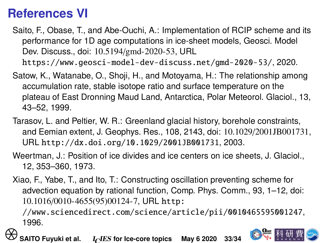## **References VI**

- <span id="page-32-2"></span>Saito, F., Obase, T., and Abe-Ouchi, A.: Implementation of RCIP scheme and its performance for 1D age computations in ice-sheet models, Geosci. Model Dev. Discuss., doi: 10.5194/gmd-2020-53, URL <https://www.geosci-model-dev-discuss.net/gmd-2020-53/>, 2020.
- Satow, K., Watanabe, O., Shoji, H., and Motoyama, H.: The relationship among accumulation rate, stable isotope ratio and surface temperature on the plateau of East Dronning Maud Land, Antarctica, Polar Meteorol. Glaciol., 13, 43–52, 1999.
- <span id="page-32-4"></span><span id="page-32-0"></span>Tarasov, L. and Peltier, W. R.: Greenland glacial history, borehole constraints, and Eemian extent, J. Geophys. Res., 108, 2143, doi: 10.1029/2001JB001731, URL <http://dx.doi.org/10.1029/2001JB001731>, 2003. accumulation rate, stable isotope ratio and surface tempera<br>plateau of East Dronning Maud Land, Antarctica, Polar Me<br>43–52, 1999.<br>Tarasov, L. and Peltier, W. R.: Greenland glacial history, borel<br>and Eemian extent, J. Geoph
	- Weertman, J.: Position of ice divides and ice centers on ice sheets, J. Glaciol., 12, 353–360, 1973.
	- Xiao, F., Yabe, T., and Ito, T.: Constructing oscillation preventing scheme for advection equation by rational function, Comp. Phys. Comm., 93, 1–12, doi: 10.1016/0010-4655(95)00124-7, URL [http:](http://www.sciencedirect.com/science/article/pii/0010465595001247)

<span id="page-32-3"></span><span id="page-32-1"></span>[//www.sciencedirect.com/science/article/pii/0010465595001247](http://www.sciencedirect.com/science/article/pii/0010465595001247), 1996.